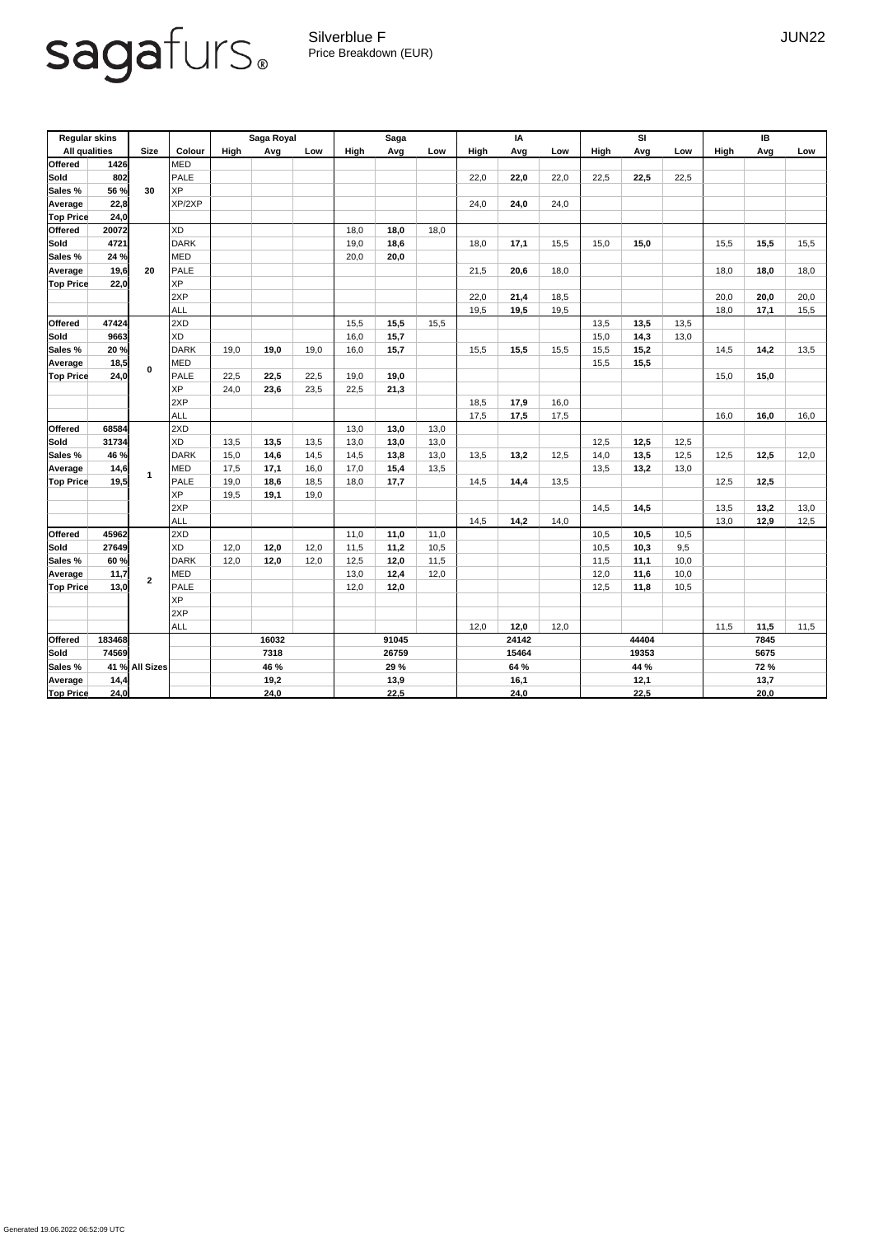## sagafurs.

Silverblue F JUN22 Price Breakdown (EUR)

| <b>Regular skins</b><br><b>All qualities</b> |        |                | <b>Colour</b> | <b>Saga Royal</b> |      |      | <b>Saga</b> |      |       | IA    |       |      | <b>SI</b> |      |      | IB          |      |      |
|----------------------------------------------|--------|----------------|---------------|-------------------|------|------|-------------|------|-------|-------|-------|------|-----------|------|------|-------------|------|------|
|                                              |        | <b>Size</b>    |               | High              | Avg  | Low  | High        | Avg  | Low   | High  | Avg   | Low  | High      | Avg  | Low  | <b>High</b> | Avg  | Low  |
| <b>Offered</b>                               | 1426   |                | MED           |                   |      |      |             |      |       |       |       |      |           |      |      |             |      |      |
| Sold                                         | 802    | 30             | PALE          |                   |      |      |             |      |       | 22,0  | 22,0  | 22,0 | 22,5      | 22,5 | 22,5 |             |      |      |
| <b>Sales %</b>                               | 56 %   |                | <b>XP</b>     |                   |      |      |             |      |       |       |       |      |           |      |      |             |      |      |
| Average                                      | 22,8   |                | XP/2XP        |                   |      |      |             |      |       | 24,0  | 24,0  | 24,0 |           |      |      |             |      |      |
| <b>Top Price</b>                             | 24,0   |                |               |                   |      |      |             |      |       |       |       |      |           |      |      |             |      |      |
| <b>Offered</b>                               | 20072  |                | XD            |                   |      |      | 18,0        | 18,0 | 18,0  |       |       |      |           |      |      |             |      |      |
| Sold                                         | 4721   |                | DARK          |                   |      |      | 19,0        | 18,6 |       | 18,0  | 17,1  | 15,5 | 15,0      | 15,0 |      | 15,5        | 15,5 | 15,5 |
| Sales %                                      | 24 %   |                | MED           |                   |      |      | 20,0        | 20,0 |       |       |       |      |           |      |      |             |      |      |
| Average                                      | 19,6   | 20             | PALE          |                   |      |      |             |      |       | 21,5  | 20,6  | 18,0 |           |      |      | 18,0        | 18,0 | 18,0 |
| <b>Top Price</b>                             | 22,0   |                | <b>XP</b>     |                   |      |      |             |      |       |       |       |      |           |      |      |             |      |      |
|                                              |        |                | 2XP           |                   |      |      |             |      |       | 22,0  | 21,4  | 18,5 |           |      |      | 20,0        | 20,0 | 20,0 |
|                                              |        |                | ALL           |                   |      |      |             |      |       | 19,5  | 19,5  | 19,5 |           |      |      | 18,0        | 17,1 | 15,5 |
| <b>Offered</b>                               | 47424  |                | 2XD           |                   |      |      | 15,5        | 15,5 | 15,5  |       |       |      | 13,5      | 13,5 | 13,5 |             |      |      |
| <b>Sold</b>                                  | 9663   |                | <b>XD</b>     |                   |      |      | 16,0        | 15,7 |       |       |       |      | 15,0      | 14,3 | 13,0 |             |      |      |
| Sales %                                      | 20 %   |                | DARK          | 19,0              | 19,0 | 19,0 | 16,0        | 15,7 |       | 15,5  | 15,5  | 15,5 | 15,5      | 15,2 |      | 14,5        | 14,2 | 13,5 |
| Average                                      | 18,5   |                | MED           |                   |      |      |             |      |       |       |       |      | 15,5      | 15,5 |      |             |      |      |
| <b>Top Price</b>                             | 24,0   | $\mathbf 0$    | PALE          | 22,5              | 22,5 | 22,5 | 19,0        | 19,0 |       |       |       |      |           |      |      | 15,0        | 15,0 |      |
|                                              |        |                | <b>XP</b>     | 24,0              | 23,6 | 23,5 | 22,5        | 21,3 |       |       |       |      |           |      |      |             |      |      |
|                                              |        |                | 2XP           |                   |      |      |             |      |       | 18,5  | 17,9  | 16,0 |           |      |      |             |      |      |
|                                              |        |                | ALL           |                   |      |      |             |      |       | 17,5  | 17,5  | 17,5 |           |      |      | 16,0        | 16,0 | 16,0 |
| <b>Offered</b>                               | 68584  |                | 2XD           |                   |      |      | 13,0        | 13,0 | 13,0  |       |       |      |           |      |      |             |      |      |
| Sold                                         | 31734  |                | XD            | 13,5              | 13,5 | 13,5 | 13,0        | 13,0 | 13,0  |       |       |      | 12,5      | 12,5 | 12,5 |             |      |      |
| Sales %                                      | 46 %   |                | <b>DARK</b>   | 15,0              | 14,6 | 14,5 | 14,5        | 13,8 | 13,0  | 13,5  | 13,2  | 12,5 | 14,0      | 13,5 | 12,5 | 12,5        | 12,5 | 12,0 |
| Average                                      | 14,6   |                | MED           | 17,5              | 17,1 | 16,0 | 17,0        | 15,4 | 13,5  |       |       |      | 13,5      | 13,2 | 13,0 |             |      |      |
| <b>Top Price</b>                             | 19,5   |                | PALE          | 19,0              | 18,6 | 18,5 | 18,0        | 17,7 |       | 14,5  | 14,4  | 13,5 |           |      |      | 12,5        | 12,5 |      |
|                                              |        |                | XP            | 19,5              | 19,1 | 19,0 |             |      |       |       |       |      |           |      |      |             |      |      |
|                                              |        |                | 2XP           |                   |      |      |             |      |       |       |       |      | 14,5      | 14,5 |      | 13,5        | 13,2 | 13,0 |
|                                              |        |                | ALL           |                   |      |      |             |      |       | 14,5  | 14,2  | 14,0 |           |      |      | 13,0        | 12,9 | 12,5 |
| Offered                                      | 45962  |                | 2XD           |                   |      |      | 11,0        | 11,0 | 11,0  |       |       |      | 10,5      | 10,5 | 10,5 |             |      |      |
| <b>Sold</b>                                  | 27649  |                | XD            | 12,0              | 12,0 | 12,0 | 11,5        | 11,2 | 10,5  |       |       |      | 10,5      | 10,3 | 9,5  |             |      |      |
| <b>Sales %</b>                               | 60 %   |                | DARK          | 12,0              | 12,0 | 12,0 | 12,5        | 12,0 | 11,5  |       |       |      | 11,5      | 11,1 | 10,0 |             |      |      |
| Average                                      | 11,7   | 2 <sup>1</sup> | MED           |                   |      |      | 13,0        | 12,4 | 12,0  |       |       |      | 12,0      | 11,6 | 10,0 |             |      |      |
| <b>Top Price</b>                             | 13,0   |                | PALE          |                   |      |      | 12,0        | 12,0 |       |       |       |      | 12,5      | 11,8 | 10,5 |             |      |      |
|                                              |        |                | XP            |                   |      |      |             |      |       |       |       |      |           |      |      |             |      |      |
|                                              |        |                | 2XP           |                   |      |      |             |      |       |       |       |      |           |      |      |             |      |      |
|                                              |        |                | ALL           |                   |      |      |             |      |       | 12,0  | 12,0  | 12,0 |           |      |      | 11,5        | 11,5 | 11,5 |
| Offered                                      | 183468 |                |               | 16032             |      |      | 91045       |      | 24142 |       | 44404 |      |           | 7845 |      |             |      |      |
| <b>Sold</b>                                  | 74569  |                |               |                   | 7318 |      | 26759       |      |       | 15464 |       |      | 19353     |      |      | 5675        |      |      |
| <b>Sales %</b>                               |        | 41 % All Sizes |               |                   | 46 % |      | 29 %        |      |       | 64 %  |       |      | 44 %      |      |      | <b>72 %</b> |      |      |
| <b>Average</b>                               | 14,4   |                |               | 19,2              |      |      | 13,9        |      | 16,1  |       |       |      | 12,1      |      |      | 13,7        |      |      |
| <b>Top Price</b>                             | 24,0   |                |               | 24,0              |      |      | 22,5        |      |       | 24,0  |       |      | 22,5      |      |      | 20,0        |      |      |